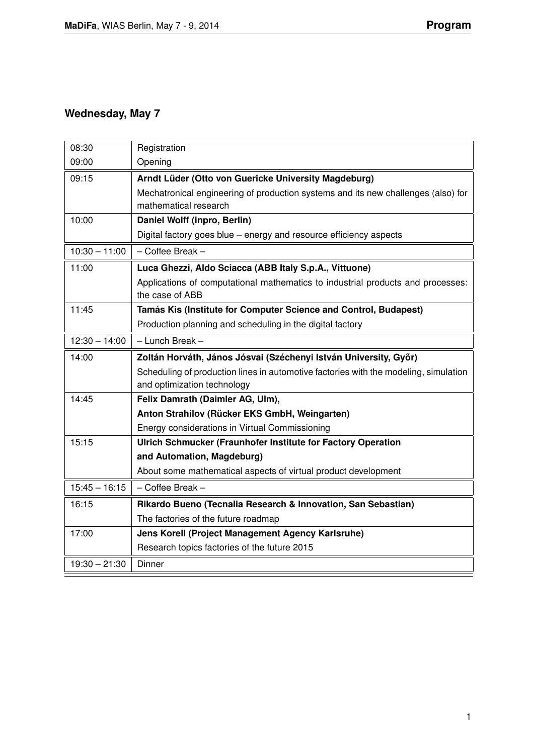## **Wednesday, May 7**

| 08:30           | Registration                                                                         |
|-----------------|--------------------------------------------------------------------------------------|
| 09:00           | Opening                                                                              |
| 09:15           | Arndt Lüder (Otto von Guericke University Magdeburg)                                 |
|                 | Mechatronical engineering of production systems and its new challenges (also) for    |
|                 | mathematical research                                                                |
| 10:00           | Daniel Wolff (inpro, Berlin)                                                         |
|                 | Digital factory goes blue – energy and resource efficiency aspects                   |
| $10:30 - 11:00$ | - Coffee Break -                                                                     |
| 11:00           | Luca Ghezzi, Aldo Sciacca (ABB Italy S.p.A., Vittuone)                               |
|                 | Applications of computational mathematics to industrial products and processes:      |
|                 | the case of ABB                                                                      |
| 11:45           | Tamás Kis (Institute for Computer Science and Control, Budapest)                     |
|                 | Production planning and scheduling in the digital factory                            |
| $12:30 - 14:00$ | - Lunch Break -                                                                      |
| 14:00           | Zoltán Horváth, János Jósvai (Széchenyi István University, Győr)                     |
|                 | Scheduling of production lines in automotive factories with the modeling, simulation |
|                 | and optimization technology                                                          |
| 14:45           | Felix Damrath (Daimler AG, Ulm),                                                     |
|                 | Anton Strahilov (Rücker EKS GmbH, Weingarten)                                        |
|                 | Energy considerations in Virtual Commissioning                                       |
| 15:15           | Ulrich Schmucker (Fraunhofer Institute for Factory Operation                         |
|                 | and Automation, Magdeburg)                                                           |
|                 | About some mathematical aspects of virtual product development                       |
| $15:45 - 16:15$ | $-$ Coffee Break $-$                                                                 |
| 16:15           | Rikardo Bueno (Tecnalia Research & Innovation, San Sebastian)                        |
|                 | The factories of the future roadmap                                                  |
| 17:00           | Jens Korell (Project Management Agency Karlsruhe)                                    |
|                 | Research topics factories of the future 2015                                         |
| $19:30 - 21:30$ | Dinner                                                                               |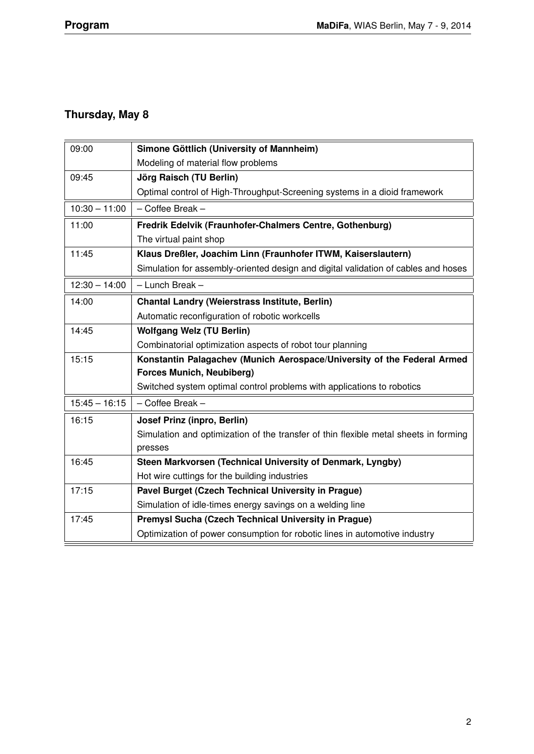## **Thursday, May 8**

| 09:00           | Simone Göttlich (University of Mannheim)                                             |
|-----------------|--------------------------------------------------------------------------------------|
|                 | Modeling of material flow problems                                                   |
| 09:45           | Jörg Raisch (TU Berlin)                                                              |
|                 | Optimal control of High-Throughput-Screening systems in a dioid framework            |
| $10:30 - 11:00$ | - Coffee Break -                                                                     |
| 11:00           | Fredrik Edelvik (Fraunhofer-Chalmers Centre, Gothenburg)                             |
|                 | The virtual paint shop                                                               |
| 11:45           | Klaus Dreßler, Joachim Linn (Fraunhofer ITWM, Kaiserslautern)                        |
|                 | Simulation for assembly-oriented design and digital validation of cables and hoses   |
| $12:30 - 14:00$ | - Lunch Break -                                                                      |
| 14:00           | <b>Chantal Landry (Weierstrass Institute, Berlin)</b>                                |
|                 | Automatic reconfiguration of robotic workcells                                       |
| 14:45           | <b>Wolfgang Welz (TU Berlin)</b>                                                     |
|                 | Combinatorial optimization aspects of robot tour planning                            |
| 15:15           | Konstantin Palagachev (Munich Aerospace/University of the Federal Armed              |
|                 | <b>Forces Munich, Neubiberg)</b>                                                     |
|                 | Switched system optimal control problems with applications to robotics               |
| $15:45 - 16:15$ | - Coffee Break -                                                                     |
| 16:15           | Josef Prinz (inpro, Berlin)                                                          |
|                 | Simulation and optimization of the transfer of thin flexible metal sheets in forming |
|                 | presses                                                                              |
| 16:45           | Steen Markvorsen (Technical University of Denmark, Lyngby)                           |
|                 | Hot wire cuttings for the building industries                                        |
| 17:15           | Pavel Burget (Czech Technical University in Prague)                                  |
|                 | Simulation of idle-times energy savings on a welding line                            |
| 17:45           | Premysl Sucha (Czech Technical University in Prague)                                 |
|                 | Optimization of power consumption for robotic lines in automotive industry           |